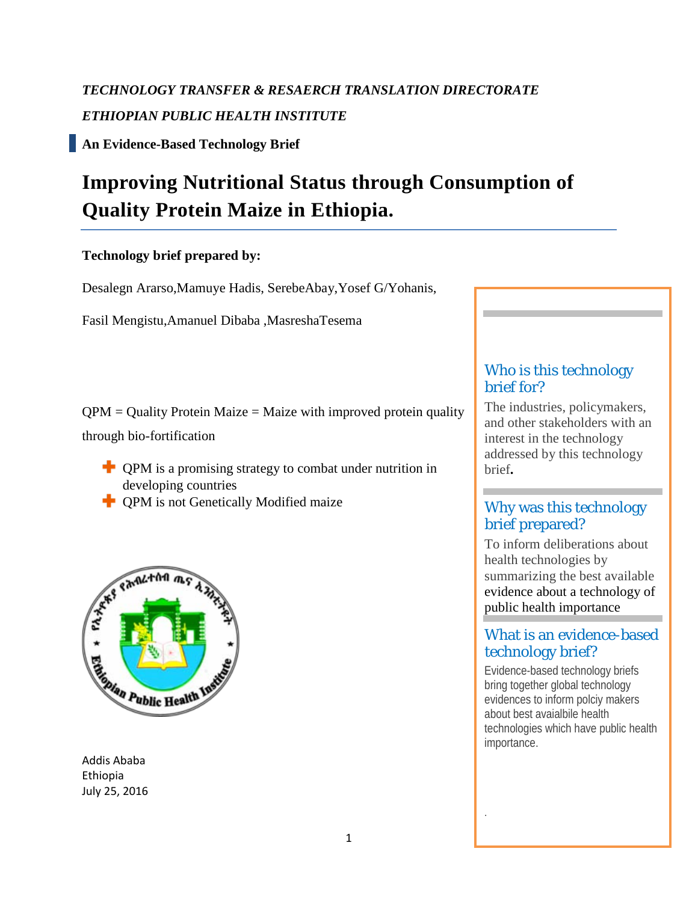# *TECHNOLOGY TRANSFER & RESAERCH TRANSLATION DIRECTORATE ETHIOPIAN PUBLIC HEALTH INSTITUTE*

**An Evidence-Based Technology Brief**

# **Improving Nutritional Status through Consumption of Quality Protein Maize in Ethiopia.**

# **Technology brief prepared by:**

Desalegn Ararso,Mamuye Hadis, SerebeAbay,Yosef G/Yohanis,

Fasil Mengistu,Amanuel Dibaba ,MasreshaTesema

 $QPM =$  Quality Protein Maize = Maize with improved protein quality through bio-fortification

- $\blacksquare$  QPM is a promising strategy to combat under nutrition in developing countries
- **T** OPM is not Genetically Modified maize



Addis Ababa Ethiopia July 25, 2016

# Who is this technology brief for?

The industries, policymakers, and other stakeholders with an interest in the technology addressed by this technology brief**.** 

# Why was this technology brief prepared?

To inform deliberations about health technologies by summarizing the best available evidence about a technology of public health importance

# What is an evidence-based technology brief?

Evidence-based technology briefs bring together global technology evidences to inform polciy makers about best avaialbile health technologies which have public health importance.

.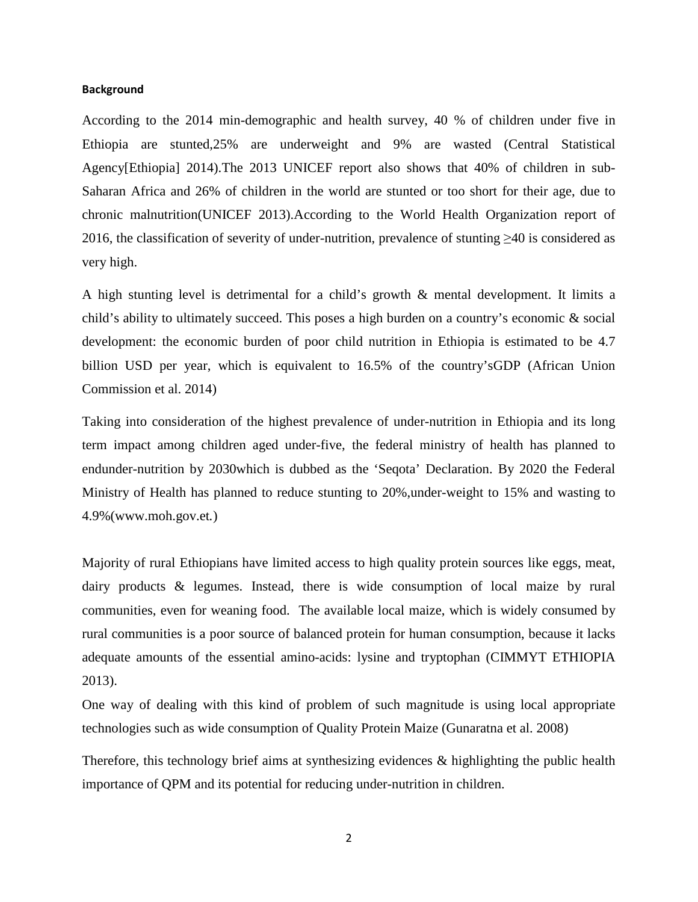#### **Background**

According to the 2014 min-demographic and health survey, 40 % of children under five in Ethiopia are stunted,25% are underweight and 9% are wasted (Central Statistical Agency[Ethiopia] 2014).The 2013 UNICEF report also shows that 40% of children in sub-Saharan Africa and 26% of children in the world are stunted or too short for their age, due to chronic malnutrition(UNICEF 2013).According to the World Health Organization report of 2016, the classification of severity of under-nutrition, prevalence of stunting ≥40 is considered as very high.

A high stunting level is detrimental for a child's growth & mental development. It limits a child's ability to ultimately succeed. This poses a high burden on a country's economic & social development: the economic burden of poor child nutrition in Ethiopia is estimated to be 4.7 billion USD per year, which is equivalent to 16.5% of the country'sGDP (African Union Commission et al. 2014)

Taking into consideration of the highest prevalence of under-nutrition in Ethiopia and its long term impact among children aged under-five, the federal ministry of health has planned to endunder-nutrition by 2030which is dubbed as the 'Seqota' Declaration. By 2020 the Federal Ministry of Health has planned to reduce stunting to 20%,under-weight to 15% and wasting to 4.9%(www.moh.gov.et*.*)

Majority of rural Ethiopians have limited access to high quality protein sources like eggs, meat, dairy products & legumes. Instead, there is wide consumption of local maize by rural communities, even for weaning food. The available local maize, which is widely consumed by rural communities is a poor source of balanced protein for human consumption, because it lacks adequate amounts of the essential amino-acids: lysine and tryptophan (CIMMYT ETHIOPIA 2013).

One way of dealing with this kind of problem of such magnitude is using local appropriate technologies such as wide consumption of Quality Protein Maize (Gunaratna et al. 2008)

Therefore, this technology brief aims at synthesizing evidences & highlighting the public health importance of QPM and its potential for reducing under-nutrition in children.

2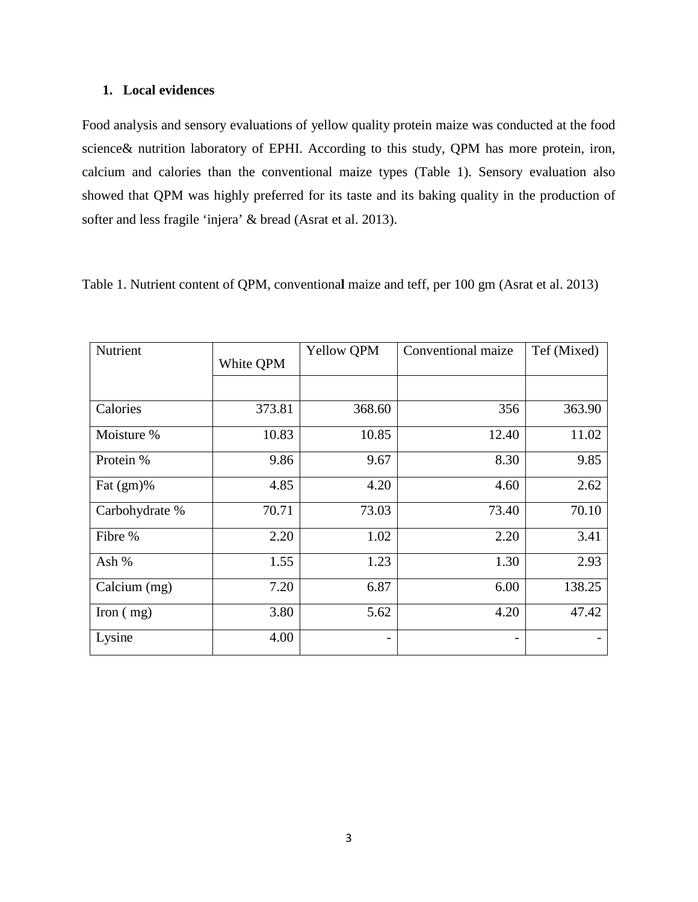#### **1. Local evidences**

Food analysis and sensory evaluations of yellow quality protein maize was conducted at the food science& nutrition laboratory of EPHI. According to this study, QPM has more protein, iron, calcium and calories than the conventional maize types (Table 1). Sensory evaluation also showed that QPM was highly preferred for its taste and its baking quality in the production of softer and less fragile 'injera' & bread (Asrat et al. 2013).

| Table 1. Nutrient content of QPM, conventional maize and teff, per 100 gm (Asrat et al. 2013) |  |  |  |  |  |
|-----------------------------------------------------------------------------------------------|--|--|--|--|--|
|-----------------------------------------------------------------------------------------------|--|--|--|--|--|

| Nutrient       | White QPM | Yellow QPM | Conventional maize | Tef (Mixed) |
|----------------|-----------|------------|--------------------|-------------|
|                |           |            |                    |             |
| Calories       | 373.81    | 368.60     | 356                | 363.90      |
| Moisture %     | 10.83     | 10.85      | 12.40              | 11.02       |
| Protein %      | 9.86      | 9.67       | 8.30               | 9.85        |
| Fat $(gm)\%$   | 4.85      | 4.20       | 4.60               | 2.62        |
| Carbohydrate % | 70.71     | 73.03      | 73.40              | 70.10       |
| Fibre %        | 2.20      | 1.02       | 2.20               | 3.41        |
| Ash %          | 1.55      | 1.23       | 1.30               | 2.93        |
| Calcium (mg)   | 7.20      | 6.87       | 6.00               | 138.25      |
| Iron $(mg)$    | 3.80      | 5.62       | 4.20               | 47.42       |
| Lysine         | 4.00      |            |                    |             |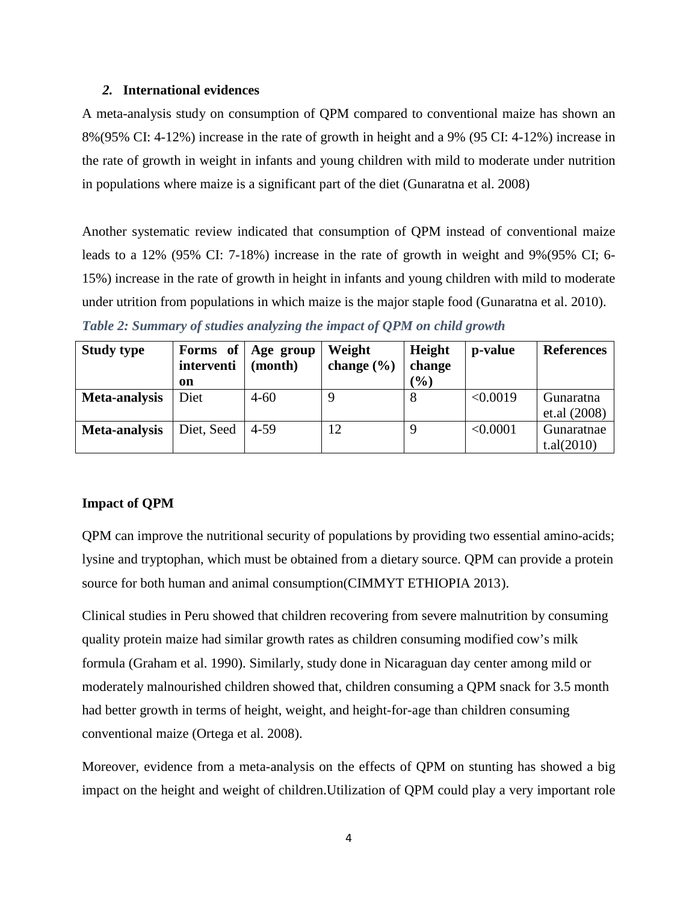#### *2.* **International evidences**

A meta-analysis study on consumption of QPM compared to conventional maize has shown an 8%(95% CI: 4-12%) increase in the rate of growth in height and a 9% (95 CI: 4-12%) increase in the rate of growth in weight in infants and young children with mild to moderate under nutrition in populations where maize is a significant part of the diet (Gunaratna et al. 2008)

Another systematic review indicated that consumption of QPM instead of conventional maize leads to a 12% (95% CI: 7-18%) increase in the rate of growth in weight and 9%(95% CI; 6- 15%) increase in the rate of growth in height in infants and young children with mild to moderate under utrition from populations in which maize is the major staple food (Gunaratna et al. 2010). *Table 2: Summary of studies analyzing the impact of QPM on child growth*

| <b>Study type</b> |            | Forms of Age group | Weight         | Height    | p-value  | <b>References</b> |
|-------------------|------------|--------------------|----------------|-----------|----------|-------------------|
|                   | interventi | (month)            | change $(\% )$ | change    |          |                   |
|                   | on         |                    |                | $($ % $)$ |          |                   |
| Meta-analysis     | Diet       | $4 - 60$           |                | 8         | < 0.0019 | Gunaratna         |
|                   |            |                    |                |           |          | et.al (2008)      |
| Meta-analysis     | Diet, Seed | $4 - 59$           | 12             |           | < 0.0001 | Gunaratnae        |
|                   |            |                    |                |           |          | t.aI(2010)        |

## **Impact of QPM**

QPM can improve the nutritional security of populations by providing two essential amino-acids; lysine and tryptophan, which must be obtained from a dietary source. QPM can provide a protein source for both human and animal consumption(CIMMYT ETHIOPIA 2013).

Clinical studies in Peru showed that children recovering from severe malnutrition by consuming quality protein maize had similar growth rates as children consuming modified cow's milk formula (Graham et al. 1990). Similarly, study done in Nicaraguan day center among mild or moderately malnourished children showed that, children consuming a QPM snack for 3.5 month had better growth in terms of height, weight, and height-for-age than children consuming conventional maize (Ortega et al. 2008).

Moreover, evidence from a meta-analysis on the effects of QPM on stunting has showed a big impact on the height and weight of children.Utilization of QPM could play a very important role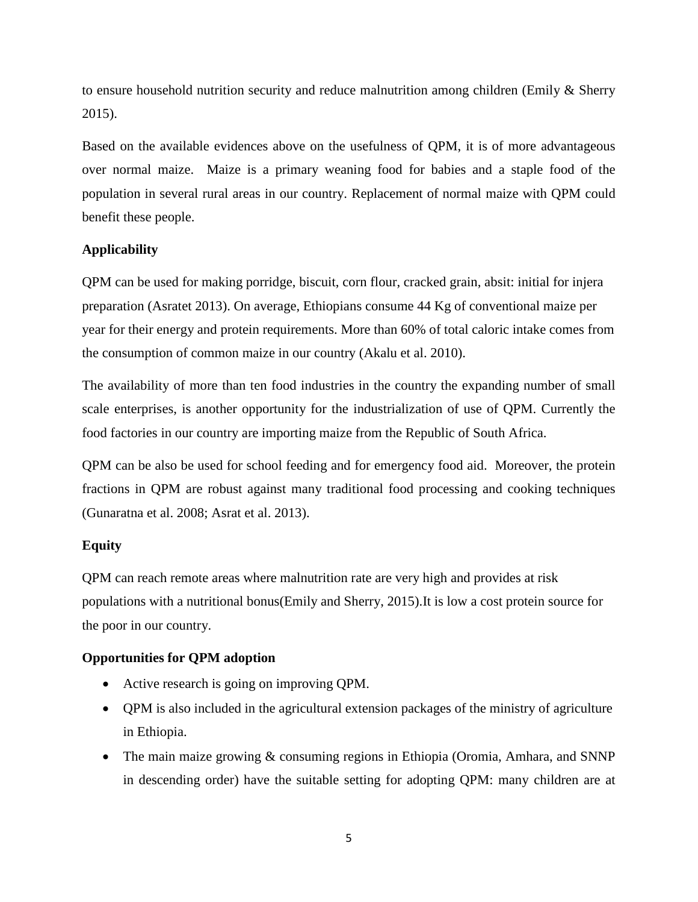to ensure household nutrition security and reduce malnutrition among children (Emily & Sherry 2015).

Based on the available evidences above on the usefulness of QPM, it is of more advantageous over normal maize. Maize is a primary weaning food for babies and a staple food of the population in several rural areas in our country. Replacement of normal maize with QPM could benefit these people.

# **Applicability**

QPM can be used for making porridge, biscuit, corn flour, cracked grain, absit: initial for injera preparation (Asratet 2013). On average, Ethiopians consume 44 Kg of conventional maize per year for their energy and protein requirements. More than 60% of total caloric intake comes from the consumption of common maize in our country (Akalu et al. 2010).

The availability of more than ten food industries in the country the expanding number of small scale enterprises, is another opportunity for the industrialization of use of QPM. Currently the food factories in our country are importing maize from the Republic of South Africa.

QPM can be also be used for school feeding and for emergency food aid. Moreover, the protein fractions in QPM are robust against many traditional food processing and cooking techniques (Gunaratna et al. 2008; Asrat et al. 2013).

## **Equity**

QPM can reach remote areas where malnutrition rate are very high and provides at risk populations with a nutritional bonus(Emily and Sherry, 2015).It is low a cost protein source for the poor in our country.

## **Opportunities for QPM adoption**

- Active research is going on improving QPM.
- QPM is also included in the agricultural extension packages of the ministry of agriculture in Ethiopia.
- The main maize growing & consuming regions in Ethiopia (Oromia, Amhara, and SNNP in descending order) have the suitable setting for adopting QPM: many children are at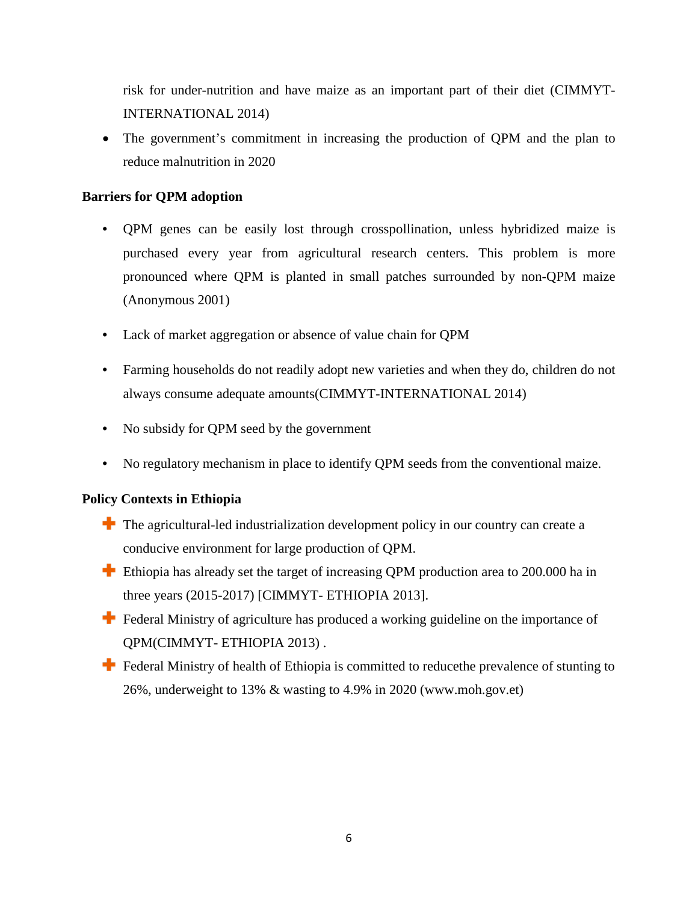risk for under-nutrition and have maize as an important part of their diet (CIMMYT-INTERNATIONAL 2014)

• The government's commitment in increasing the production of QPM and the plan to reduce malnutrition in 2020

# **Barriers for QPM adoption**

- QPM genes can be easily lost through crosspollination, unless hybridized maize is purchased every year from agricultural research centers. This problem is more pronounced where QPM is planted in small patches surrounded by non-QPM maize (Anonymous 2001)
- Lack of market aggregation or absence of value chain for QPM
- Farming households do not readily adopt new varieties and when they do, children do not always consume adequate amounts(CIMMYT-INTERNATIONAL 2014)
- No subsidy for QPM seed by the government
- No regulatory mechanism in place to identify QPM seeds from the conventional maize.

# **Policy Contexts in Ethiopia**

- $\blacksquare$  The agricultural-led industrialization development policy in our country can create a conducive environment for large production of QPM.
- **Ethiopia has already set the target of increasing QPM production area to 200.000 ha in** three years (2015-2017) [CIMMYT- ETHIOPIA 2013].
- Federal Ministry of agriculture has produced a working guideline on the importance of QPM(CIMMYT- ETHIOPIA 2013) .
- Federal Ministry of health of Ethiopia is committed to reduce the prevalence of stunting to 26%, underweight to 13% & wasting to 4.9% in 2020 (www.moh.gov.et)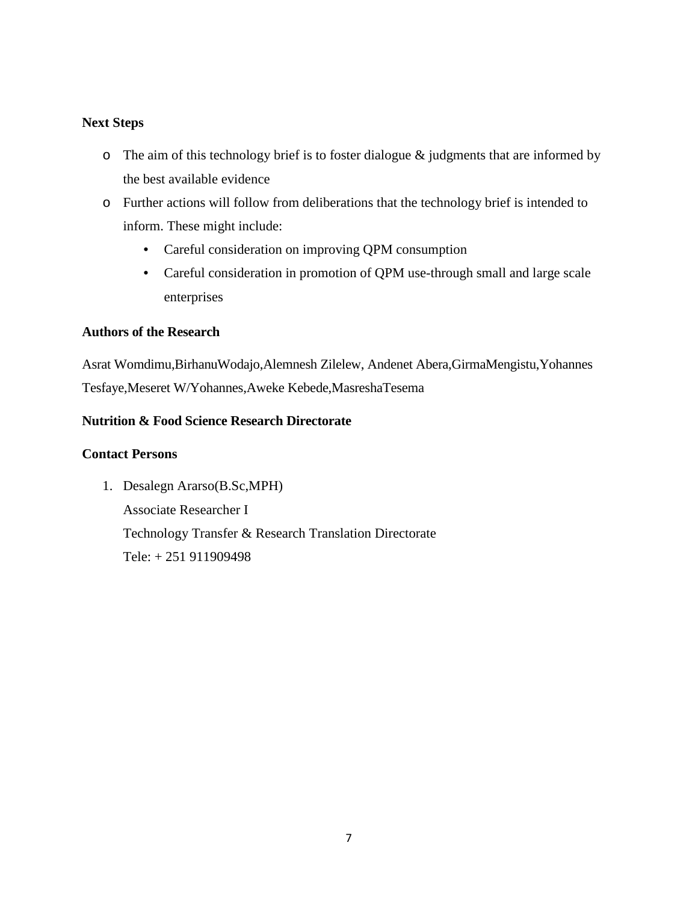## **Next Steps**

- o The aim of this technology brief is to foster dialogue & judgments that are informed by the best available evidence
- o Further actions will follow from deliberations that the technology brief is intended to inform. These might include:
	- Careful consideration on improving QPM consumption
	- Careful consideration in promotion of QPM use-through small and large scale enterprises

## **Authors of the Research**

Asrat Womdimu,BirhanuWodajo,Alemnesh Zilelew, Andenet Abera,GirmaMengistu,Yohannes Tesfaye,Meseret W/Yohannes,Aweke Kebede,MasreshaTesema

# **Nutrition & Food Science Research Directorate**

#### **Contact Persons**

1. Desalegn Ararso(B.Sc,MPH) Associate Researcher I Technology Transfer & Research Translation Directorate Tele: + 251 911909498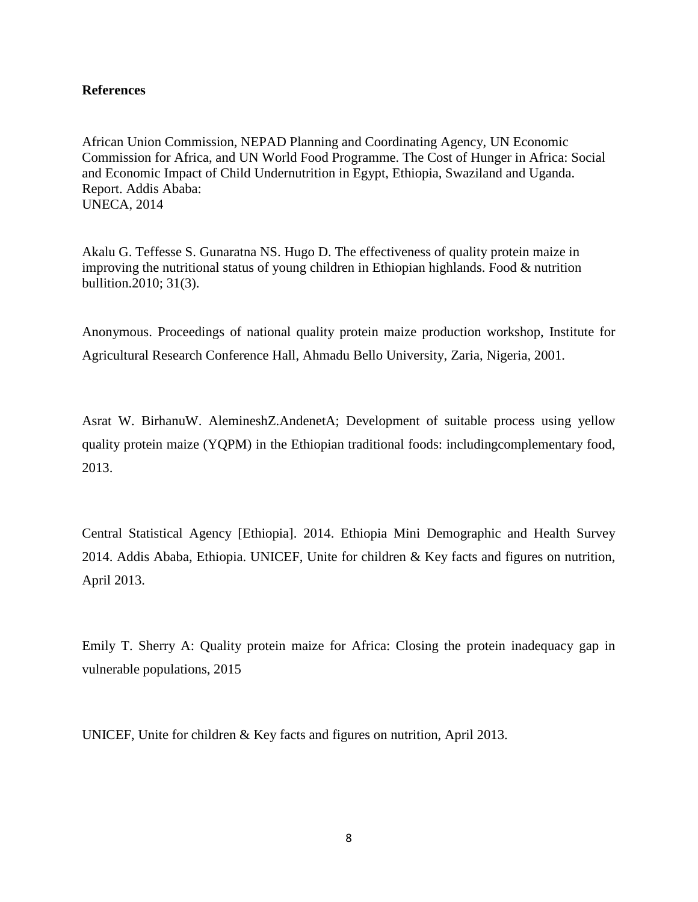#### **References**

African Union Commission, NEPAD Planning and Coordinating Agency, UN Economic Commission for Africa, and UN World Food Programme. The Cost of Hunger in Africa: Social and Economic Impact of Child Undernutrition in Egypt, Ethiopia, Swaziland and Uganda. Report. Addis Ababa: UNECA, 2014

Akalu G. Teffesse S. Gunaratna NS. Hugo D. The effectiveness of quality protein maize in improving the nutritional status of young children in Ethiopian highlands. Food & nutrition bullition.2010; 31(3).

Anonymous. Proceedings of national quality protein maize production workshop, Institute for Agricultural Research Conference Hall, Ahmadu Bello University, Zaria, Nigeria, 2001.

Asrat W. BirhanuW. AlemineshZ.AndenetA; Development of suitable process using yellow quality protein maize (YQPM) in the Ethiopian traditional foods: includingcomplementary food, 2013.

Central Statistical Agency [Ethiopia]. 2014. Ethiopia Mini Demographic and Health Survey 2014. Addis Ababa, Ethiopia. UNICEF, Unite for children & Key facts and figures on nutrition, April 2013.

Emily T. Sherry A: Quality protein maize for Africa: Closing the protein inadequacy gap in vulnerable populations, 2015

UNICEF, Unite for children & Key facts and figures on nutrition, April 2013.